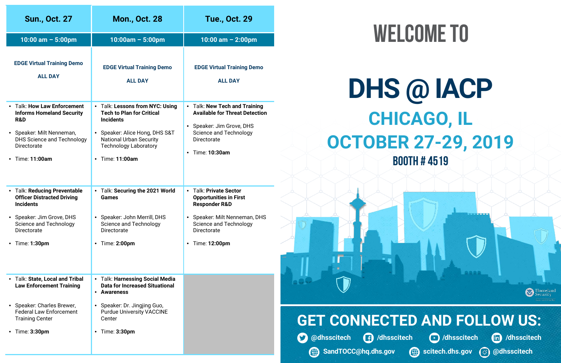| <b>Sun., Oct. 27</b>                                                                                                                                                                                                      | <b>Mon., Oct. 28</b>                                                                                                                                                                                                    | <b>Tue., Oct. 29</b>                                                                                                                                                                                |
|---------------------------------------------------------------------------------------------------------------------------------------------------------------------------------------------------------------------------|-------------------------------------------------------------------------------------------------------------------------------------------------------------------------------------------------------------------------|-----------------------------------------------------------------------------------------------------------------------------------------------------------------------------------------------------|
| 10:00 am $-$ 5:00pm                                                                                                                                                                                                       | $10:00am - 5:00pm$                                                                                                                                                                                                      | 10:00 am $-$ 2:00pm                                                                                                                                                                                 |
| <b>EDGE Virtual Training Demo</b><br><b>ALL DAY</b>                                                                                                                                                                       | <b>EDGE Virtual Training Demo</b><br><b>ALL DAY</b>                                                                                                                                                                     | <b>EDGE Virtual Training Demo</b><br><b>ALL DAY</b>                                                                                                                                                 |
| <b>Talk: How Law Enforcement</b><br>$\bullet$<br><b>Informs Homeland Security</b><br><b>R&amp;D</b><br>• Speaker: Milt Nenneman,<br><b>DHS Science and Technology</b><br><b>Directorate</b><br>Time: 11:00am<br>$\bullet$ | • Talk: Lessons from NYC: Using<br><b>Tech to Plan for Critical</b><br><b>Incidents</b><br>Speaker: Alice Hong, DHS S&T<br><b>National Urban Security</b><br><b>Technology Laboratory</b><br>Time: 11:00am<br>$\bullet$ | • Talk: New Tech and Training<br><b>Available for Threat Detection</b><br>Speaker: Jim Grove, DHS<br>$\bullet$<br><b>Science and Technology</b><br><b>Directorate</b><br>Time: 10:30am<br>$\bullet$ |
| • Talk: Reducing Preventable<br><b>Officer Distracted Driving</b><br><b>Incidents</b>                                                                                                                                     | • Talk: Securing the 2021 World<br>Games<br>Speaker: John Merrill, DHS<br>$\bullet$                                                                                                                                     | • Talk: Private Sector<br><b>Opportunities in First</b><br><b>Responder R&amp;D</b>                                                                                                                 |
| • Speaker: Jim Grove, DHS<br><b>Science and Technology</b><br>Directorate                                                                                                                                                 | <b>Science and Technology</b><br>Directorate                                                                                                                                                                            | • Speaker: Milt Nenneman, DHS<br><b>Science and Technology</b><br>Directorate                                                                                                                       |
| Time: 1:30pm<br>$\bullet$                                                                                                                                                                                                 | Time: 2:00pm<br>$\bullet$                                                                                                                                                                                               | Time: 12:00pm<br>$\bullet$                                                                                                                                                                          |
| Talk: State, Local and Tribal<br>$\bullet$<br><b>Law Enforcement Training</b>                                                                                                                                             | <b>Talk: Harnessing Social Media</b><br><b>Data for Increased Situational</b><br>• Awareness                                                                                                                            |                                                                                                                                                                                                     |
| • Speaker: Charles Brewer,<br><b>Federal Law Enforcement</b><br><b>Training Center</b>                                                                                                                                    | • Speaker: Dr. Jingjing Guo,<br><b>Purdue University VACCINE</b><br>Center                                                                                                                                              |                                                                                                                                                                                                     |
| Time: 3:30pm<br>$\bullet$                                                                                                                                                                                                 | Time: 3:30pm<br>$\bullet$                                                                                                                                                                                               |                                                                                                                                                                                                     |

# WELCOME TO

### **@dhsscitech + /dhsscitech /dhsscitech** /dhsscitech /dhsscitech **A** SandTOCC@hq.dhs.gov **C** scitech.dhs.gov  $\bigcirc$  @dhsscitech **GET CONNECTED AND FOLLOW US:**





## **CHICAGO, IL OCTOBER 27-29, 2019 Booth # 4519 DHS @ IACP**